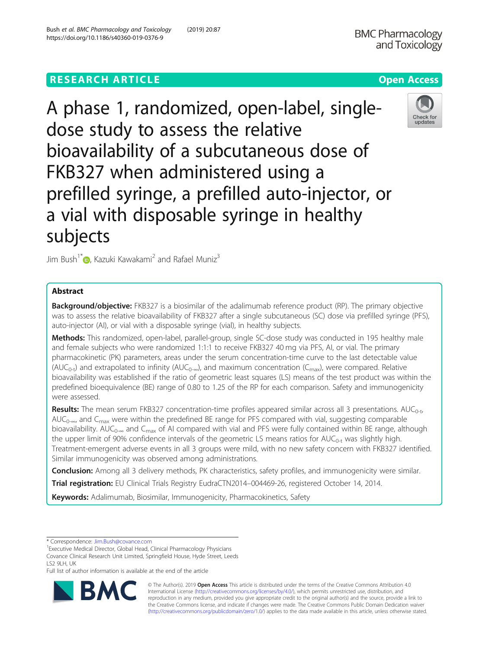## **RESEARCH ARTICLE Example 2014 12:30 The Contract of Contract ACCESS**



A phase 1, randomized, open-label, singledose study to assess the relative bioavailability of a subcutaneous dose of FKB327 when administered using a prefilled syringe, a prefilled auto-injector, or a vial with disposable syringe in healthy subjects



Jim Bush<sup>1\*</sup> [,](http://orcid.org/0000-0002-6645-7041) Kazuki Kawakami<sup>2</sup> and Rafael Muniz<sup>3</sup>

## Abstract

**Background/objective:** FKB327 is a biosimilar of the adalimumab reference product (RP). The primary objective was to assess the relative bioavailability of FKB327 after a single subcutaneous (SC) dose via prefilled syringe (PFS), auto-injector (AI), or vial with a disposable syringe (vial), in healthy subjects.

Methods: This randomized, open-label, parallel-group, single SC-dose study was conducted in 195 healthy male and female subjects who were randomized 1:1:1 to receive FKB327 40 mg via PFS, AI, or vial. The primary pharmacokinetic (PK) parameters, areas under the serum concentration-time curve to the last detectable value (AUC<sub>0-t</sub>) and extrapolated to infinity (AUC<sub>0-∞</sub>), and maximum concentration (C<sub>max</sub>), were compared. Relative bioavailability was established if the ratio of geometric least squares (LS) means of the test product was within the predefined bioequivalence (BE) range of 0.80 to 1.25 of the RP for each comparison. Safety and immunogenicity were assessed.

Results: The mean serum FKB327 concentration-time profiles appeared similar across all 3 presentations. AUC<sub>0-t</sub>, AUC<sub>0-∞</sub>, and C<sub>max</sub> were within the predefined BE range for PFS compared with vial, suggesting comparable bioavailability. AUC<sub>0-∞</sub> and C<sub>max</sub> of AI compared with vial and PFS were fully contained within BE range, although the upper limit of 90% confidence intervals of the geometric LS means ratios for  $AUC_{0-t}$  was slightly high. Treatment-emergent adverse events in all 3 groups were mild, with no new safety concern with FKB327 identified. Similar immunogenicity was observed among administrations.

**Conclusion:** Among all 3 delivery methods, PK characteristics, safety profiles, and immunogenicity were similar.

Trial registration: EU Clinical Trials Registry EudraCTN2014-004469-26, registered October 14, 2014.

Keywords: Adalimumab, Biosimilar, Immunogenicity, Pharmacokinetics, Safety

<sup>1</sup> Executive Medical Director, Global Head, Clinical Pharmacology Physicians

Covance Clinical Research Unit Limited, Springfield House, Hyde Street, Leeds LS2 9LH, UK

Full list of author information is available at the end of the article



© The Author(s). 2019 Open Access This article is distributed under the terms of the Creative Commons Attribution 4.0 International License [\(http://creativecommons.org/licenses/by/4.0/](http://creativecommons.org/licenses/by/4.0/)), which permits unrestricted use, distribution, and reproduction in any medium, provided you give appropriate credit to the original author(s) and the source, provide a link to the Creative Commons license, and indicate if changes were made. The Creative Commons Public Domain Dedication waiver [\(http://creativecommons.org/publicdomain/zero/1.0/](http://creativecommons.org/publicdomain/zero/1.0/)) applies to the data made available in this article, unless otherwise stated.

<sup>\*</sup> Correspondence: [Jim.Bush@covance.com](mailto:Jim.Bush@covance.com) <sup>1</sup>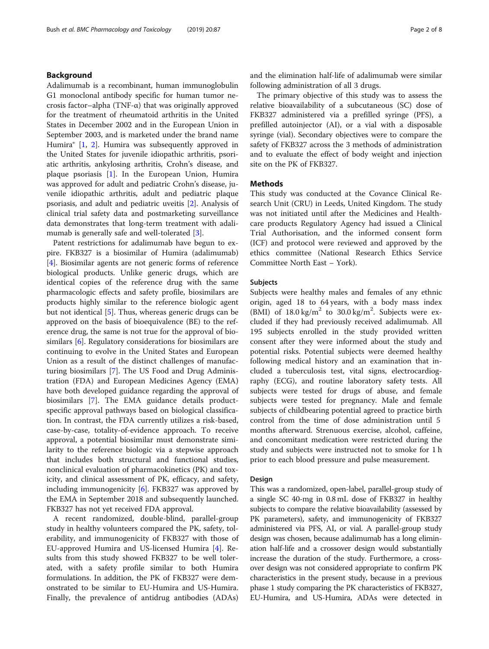## Background

Adalimumab is a recombinant, human immunoglobulin G1 monoclonal antibody specific for human tumor necrosis factor–alpha (TNF-α) that was originally approved for the treatment of rheumatoid arthritis in the United States in December 2002 and in the European Union in September 2003, and is marketed under the brand name Humira® [\[1](#page-7-0), [2\]](#page-7-0). Humira was subsequently approved in the United States for juvenile idiopathic arthritis, psoriatic arthritis, ankylosing arthritis, Crohn's disease, and plaque psoriasis [[1\]](#page-7-0). In the European Union, Humira was approved for adult and pediatric Crohn's disease, juvenile idiopathic arthritis, adult and pediatric plaque psoriasis, and adult and pediatric uveitis [\[2](#page-7-0)]. Analysis of clinical trial safety data and postmarketing surveillance data demonstrates that long-term treatment with adalimumab is generally safe and well-tolerated [\[3\]](#page-7-0).

Patent restrictions for adalimumab have begun to expire. FKB327 is a biosimilar of Humira (adalimumab) [[4\]](#page-7-0). Biosimilar agents are not generic forms of reference biological products. Unlike generic drugs, which are identical copies of the reference drug with the same pharmacologic effects and safety profile, biosimilars are products highly similar to the reference biologic agent but not identical [[5\]](#page-7-0). Thus, whereas generic drugs can be approved on the basis of bioequivalence (BE) to the reference drug, the same is not true for the approval of biosimilars [\[6](#page-7-0)]. Regulatory considerations for biosimilars are continuing to evolve in the United States and European Union as a result of the distinct challenges of manufacturing biosimilars [\[7\]](#page-7-0). The US Food and Drug Administration (FDA) and European Medicines Agency (EMA) have both developed guidance regarding the approval of biosimilars [[7\]](#page-7-0). The EMA guidance details productspecific approval pathways based on biological classification. In contrast, the FDA currently utilizes a risk-based, case-by-case, totality-of-evidence approach. To receive approval, a potential biosimilar must demonstrate similarity to the reference biologic via a stepwise approach that includes both structural and functional studies, nonclinical evaluation of pharmacokinetics (PK) and toxicity, and clinical assessment of PK, efficacy, and safety, including immunogenicity [[6](#page-7-0)]. FKB327 was approved by the EMA in September 2018 and subsequently launched. FKB327 has not yet received FDA approval.

A recent randomized, double-blind, parallel-group study in healthy volunteers compared the PK, safety, tolerability, and immunogenicity of FKB327 with those of EU-approved Humira and US-licensed Humira [\[4\]](#page-7-0). Results from this study showed FKB327 to be well tolerated, with a safety profile similar to both Humira formulations. In addition, the PK of FKB327 were demonstrated to be similar to EU-Humira and US-Humira. Finally, the prevalence of antidrug antibodies (ADAs) and the elimination half-life of adalimumab were similar following administration of all 3 drugs.

The primary objective of this study was to assess the relative bioavailability of a subcutaneous (SC) dose of FKB327 administered via a prefilled syringe (PFS), a prefilled autoinjector (AI), or a vial with a disposable syringe (vial). Secondary objectives were to compare the safety of FKB327 across the 3 methods of administration and to evaluate the effect of body weight and injection site on the PK of FKB327.

## **Methods**

This study was conducted at the Covance Clinical Research Unit (CRU) in Leeds, United Kingdom. The study was not initiated until after the Medicines and Healthcare products Regulatory Agency had issued a Clinical Trial Authorisation, and the informed consent form (ICF) and protocol were reviewed and approved by the ethics committee (National Research Ethics Service Committee North East – York).

## Subjects

Subjects were healthy males and females of any ethnic origin, aged 18 to 64 years, with a body mass index (BMI) of  $18.0 \text{ kg/m}^2$  to  $30.0 \text{ kg/m}^2$ . Subjects were excluded if they had previously received adalimumab. All 195 subjects enrolled in the study provided written consent after they were informed about the study and potential risks. Potential subjects were deemed healthy following medical history and an examination that included a tuberculosis test, vital signs, electrocardiography (ECG), and routine laboratory safety tests. All subjects were tested for drugs of abuse, and female subjects were tested for pregnancy. Male and female subjects of childbearing potential agreed to practice birth control from the time of dose administration until 5 months afterward. Strenuous exercise, alcohol, caffeine, and concomitant medication were restricted during the study and subjects were instructed not to smoke for 1 h prior to each blood pressure and pulse measurement.

## Design

This was a randomized, open-label, parallel-group study of a single SC 40-mg in 0.8 mL dose of FKB327 in healthy subjects to compare the relative bioavailability (assessed by PK parameters), safety, and immunogenicity of FKB327 administered via PFS, AI, or vial. A parallel-group study design was chosen, because adalimumab has a long elimination half-life and a crossover design would substantially increase the duration of the study. Furthermore, a crossover design was not considered appropriate to confirm PK characteristics in the present study, because in a previous phase 1 study comparing the PK characteristics of FKB327, EU-Humira, and US-Humira, ADAs were detected in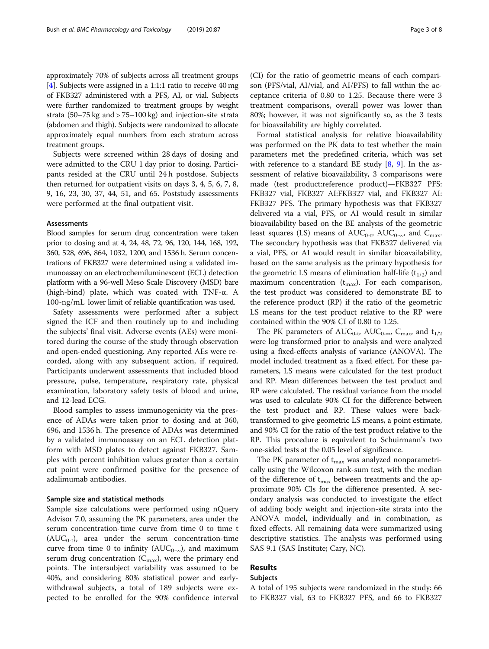approximately 70% of subjects across all treatment groups [[4](#page-7-0)]. Subjects were assigned in a 1:1:1 ratio to receive 40 mg of FKB327 administered with a PFS, AI, or vial. Subjects were further randomized to treatment groups by weight strata (50–75 kg and > 75–100 kg) and injection-site strata (abdomen and thigh). Subjects were randomized to allocate approximately equal numbers from each stratum across treatment groups.

Subjects were screened within 28 days of dosing and were admitted to the CRU 1 day prior to dosing. Participants resided at the CRU until 24 h postdose. Subjects then returned for outpatient visits on days 3, 4, 5, 6, 7, 8, 9, 16, 23, 30, 37, 44, 51, and 65. Poststudy assessments were performed at the final outpatient visit.

## Assessments

Blood samples for serum drug concentration were taken prior to dosing and at 4, 24, 48, 72, 96, 120, 144, 168, 192, 360, 528, 696, 864, 1032, 1200, and 1536 h. Serum concentrations of FKB327 were determined using a validated immunoassay on an electrochemiluminescent (ECL) detection platform with a 96-well Meso Scale Discovery (MSD) bare (high-bind) plate, which was coated with TNF-α. A 100-ng/mL lower limit of reliable quantification was used.

Safety assessments were performed after a subject signed the ICF and then routinely up to and including the subjects' final visit. Adverse events (AEs) were monitored during the course of the study through observation and open-ended questioning. Any reported AEs were recorded, along with any subsequent action, if required. Participants underwent assessments that included blood pressure, pulse, temperature, respiratory rate, physical examination, laboratory safety tests of blood and urine, and 12-lead ECG.

Blood samples to assess immunogenicity via the presence of ADAs were taken prior to dosing and at 360, 696, and 1536 h. The presence of ADAs was determined by a validated immunoassay on an ECL detection platform with MSD plates to detect against FKB327. Samples with percent inhibition values greater than a certain cut point were confirmed positive for the presence of adalimumab antibodies.

#### Sample size and statistical methods

Sample size calculations were performed using nQuery Advisor 7.0, assuming the PK parameters, area under the serum concentration-time curve from time 0 to time t  $(AUC_{0-t})$ , area under the serum concentration-time curve from time 0 to infinity ( $AUC_{0-\infty}$ ), and maximum serum drug concentration ( $C_{\rm max}$ ), were the primary end points. The intersubject variability was assumed to be 40%, and considering 80% statistical power and earlywithdrawal subjects, a total of 189 subjects were expected to be enrolled for the 90% confidence interval

(CI) for the ratio of geometric means of each comparison (PFS/vial, AI/vial, and AI/PFS) to fall within the acceptance criteria of 0.80 to 1.25. Because there were 3 treatment comparisons, overall power was lower than 80%; however, it was not significantly so, as the 3 tests for bioavailability are highly correlated.

Formal statistical analysis for relative bioavailability was performed on the PK data to test whether the main parameters met the predefined criteria, which was set with reference to a standard BE study  $[8, 9]$  $[8, 9]$  $[8, 9]$  $[8, 9]$ . In the assessment of relative bioavailability, 3 comparisons were made (test product:reference product)—FKB327 PFS: FKB327 vial, FKB327 AI:FKB327 vial, and FKB327 AI: FKB327 PFS. The primary hypothesis was that FKB327 delivered via a vial, PFS, or AI would result in similar bioavailability based on the BE analysis of the geometric least squares (LS) means of  $AUC_{0-t}$ ,  $AUC_{0-\infty}$ , and  $C_{\text{max}}$ . The secondary hypothesis was that FKB327 delivered via a vial, PFS, or AI would result in similar bioavailability, based on the same analysis as the primary hypothesis for the geometric LS means of elimination half-life  $(t_{1/2})$  and maximum concentration  $(t_{\text{max}})$ . For each comparison, the test product was considered to demonstrate BE to the reference product (RP) if the ratio of the geometric LS means for the test product relative to the RP were contained within the 90% CI of 0.80 to 1.25.

The PK parameters of  $AUC_{0-t}$ ,  $AUC_{0-\infty}$ ,  $C_{\text{max}}$ , and  $t_{1/2}$ were log transformed prior to analysis and were analyzed using a fixed-effects analysis of variance (ANOVA). The model included treatment as a fixed effect. For these parameters, LS means were calculated for the test product and RP. Mean differences between the test product and RP were calculated. The residual variance from the model was used to calculate 90% CI for the difference between the test product and RP. These values were backtransformed to give geometric LS means, a point estimate, and 90% CI for the ratio of the test product relative to the RP. This procedure is equivalent to Schuirmann's two one-sided tests at the 0.05 level of significance.

The PK parameter of  $t_{\text{max}}$  was analyzed nonparametrically using the Wilcoxon rank-sum test, with the median of the difference of  $t_{\text{max}}$  between treatments and the approximate 90% CIs for the difference presented. A secondary analysis was conducted to investigate the effect of adding body weight and injection-site strata into the ANOVA model, individually and in combination, as fixed effects. All remaining data were summarized using descriptive statistics. The analysis was performed using SAS 9.1 (SAS Institute; Cary, NC).

## Results

## Subjects

A total of 195 subjects were randomized in the study: 66 to FKB327 vial, 63 to FKB327 PFS, and 66 to FKB327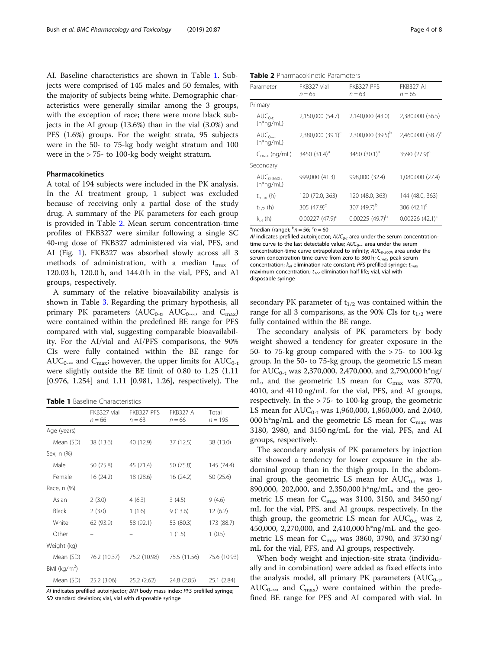AI. Baseline characteristics are shown in Table 1. Subjects were comprised of 145 males and 50 females, with the majority of subjects being white. Demographic characteristics were generally similar among the 3 groups, with the exception of race; there were more black subjects in the AI group (13.6%) than in the vial (3.0%) and PFS (1.6%) groups. For the weight strata, 95 subjects were in the 50- to 75-kg body weight stratum and 100 were in the > 75- to 100-kg body weight stratum.

## Pharmacokinetics

A total of 194 subjects were included in the PK analysis. In the AI treatment group, 1 subject was excluded because of receiving only a partial dose of the study drug. A summary of the PK parameters for each group is provided in Table 2. Mean serum concentration-time profiles of FKB327 were similar following a single SC 40-mg dose of FKB327 administered via vial, PFS, and AI (Fig. [1\)](#page-4-0). FKB327 was absorbed slowly across all 3 methods of administration, with a median  $t_{\text{max}}$  of 120.03 h, 120.0 h, and 144.0 h in the vial, PFS, and AI groups, respectively.

A summary of the relative bioavailability analysis is shown in Table [3.](#page-5-0) Regarding the primary hypothesis, all primary PK parameters ( $AUC_{0-t}$ ,  $AUC_{0-\infty}$ , and  $C_{\max}$ ) were contained within the predefined BE range for PFS compared with vial, suggesting comparable bioavailability. For the AI/vial and AI/PFS comparisons, the 90% CIs were fully contained within the BE range for AUC<sub>0-∞</sub> and C<sub>max</sub>; however, the upper limits for AUC<sub>0-t</sub> were slightly outside the BE limit of 0.80 to 1.25 (1.11 [0.976, 1.254] and 1.11 [0.981, 1.26], respectively). The

Table 1 Baseline Characteristics

|                 | FKB327 vial<br>$n = 66$ | FKB327 PFS<br>$n = 63$ | <b>FKB327 AI</b><br>$n = 66$ | Total<br>$n = 195$ |
|-----------------|-------------------------|------------------------|------------------------------|--------------------|
| Age (years)     |                         |                        |                              |                    |
| Mean (SD)       | 38 (13.6)               | 40 (12.9)              | 37 (12.5)                    | 38 (13.0)          |
| Sex, n (%)      |                         |                        |                              |                    |
| Male            | 50 (75.8)               | 45 (71.4)              | 50 (75.8)                    | 145 (74.4)         |
| Female          | 16 (24.2)               | 18 (28.6)              | 16 (24.2)                    | 50 (25.6)          |
| Race, n (%)     |                         |                        |                              |                    |
| Asian           | 2(3.0)                  | 4(6.3)                 | 3(4.5)                       | 9(4.6)             |
| <b>Black</b>    | 2(3.0)                  | 1(1.6)                 | 9(13.6)                      | 12(6.2)            |
| White           | 62 (93.9)               | 58 (92.1)              | 53 (80.3)                    | 173 (88.7)         |
| Other           |                         |                        | 1(1.5)                       | 1(0.5)             |
| Weight (kg)     |                         |                        |                              |                    |
| Mean (SD)       | 76.2 (10.37)            | 75.2 (10.98)           | 75.5 (11.56)                 | 75.6 (10.93)       |
| BMI ( $kg/m2$ ) |                         |                        |                              |                    |
| Mean (SD)       | 25.2 (3.06)             | 25.2 (2.62)            | 24.8 (2.85)                  | 25.1 (2.84)        |

AI indicates prefilled autoinjector: BMI body mass index: PFS prefilled syringe; SD standard deviation; vial, vial with disposable syringe

Table 2 Pharmacokinetic Parameters

| Parameter                       | FKB327 vial<br>$n = 65$       | FKB327 PFS<br>$n = 63$        | <b>FKB327 AI</b><br>$n = 65$  |
|---------------------------------|-------------------------------|-------------------------------|-------------------------------|
| Primary                         |                               |                               |                               |
| $AUC_{0-t}$<br>$(h*ng/ml)$      | 2,150,000 (54.7)              | 2,140,000 (43.0)              | 2,380,000 (36.5)              |
| $AUC_{0-\infty}$<br>$(h*ng/ml)$ | 2,380,000 (39.1) <sup>c</sup> | 2,300,000 (39.5) <sup>b</sup> | 2,460,000 (38.7) <sup>c</sup> |
| $C_{\text{max}}$ (ng/mL)        | 3450 $(31.4)^{a}$             | 3450 $(30.1)^{d}$             | 3590 $(27.9)^a$               |
| Secondary                       |                               |                               |                               |
| $AUC0-360h$<br>$(h*ng/ml)$      | 999,000 (41.3)                | 998,000 (32.4)                | 1,080,000 (27.4)              |
| $t_{\text{max}}$ (h)            | 120 (72.0, 363)               | 120 (48.0, 363)               | 144 (48.0, 363)               |
| $t_{1/2}$ (h)                   | 305 $(47.9)$ <sup>c</sup>     | 307 (49.7) <sup>b</sup>       | 306 $(42.1)^c$                |
| $k_{el}$ (h)                    | $0.00227(47.9)^c$             | $0.00225(49.7)^b$             | $0.00226$ (42.1) <sup>c</sup> |

<sup>a</sup>median (range);  $\frac{b}{n}$  = 56;  $\frac{c}{n}$  = 60

AI indicates prefilled autoinjector;  $AUC_{0-t}$  area under the serum concentrationtime curve to the last detectable value;  $AUC_{0-\infty}$  area under the serum concentration-time curve extrapolated to infinity;  $AUC_{0.360h}$  area under the serum concentration-time curve from zero to 360 h;  $C_{max}$  peak serum concentration;  $k_{el}$  elimination rate constant; PFS prefilled syringe;  $t_{max}$ maximum concentration;  $t_{1/2}$  elimination half-life; vial, vial with disposable syringe

secondary PK parameter of  $t_{1/2}$  was contained within the range for all 3 comparisons, as the 90% CIs for  $t_{1/2}$  were fully contained within the BE range.

The secondary analysis of PK parameters by body weight showed a tendency for greater exposure in the 50- to 75-kg group compared with the  $> 75$ - to 100-kg group. In the 50- to 75-kg group, the geometric LS mean for AUC<sub>0-t</sub> was 2,370,000, 2,470,000, and 2,790,000 h\*ng/ mL, and the geometric LS mean for  $C_{\text{max}}$  was 3770, 4010, and 4110 ng/mL for the vial, PFS, and AI groups, respectively. In the > 75- to 100-kg group, the geometric LS mean for  $AUC_{0-t}$  was 1,960,000, 1,860,000, and 2,040, 000 h\*ng/mL and the geometric LS mean for  $C_{\text{max}}$  was 3180, 2980, and 3150 ng/mL for the vial, PFS, and AI groups, respectively.

The secondary analysis of PK parameters by injection site showed a tendency for lower exposure in the abdominal group than in the thigh group. In the abdominal group, the geometric LS mean for  $AUC_{0-t}$  was 1, 890,000, 202,000, and 2,350,000 h\*ng/mL, and the geometric LS mean for  $C_{\text{max}}$  was 3100, 3150, and 3450 ng/ mL for the vial, PFS, and AI groups, respectively. In the thigh group, the geometric LS mean for  $AUC_{0-t}$  was 2, 450,000, 2,270,000, and 2,410,000 h\*ng/mL and the geometric LS mean for  $C_{\text{max}}$  was 3860, 3790, and 3730 ng/ mL for the vial, PFS, and AI groups, respectively.

When body weight and injection-site strata (individually and in combination) were added as fixed effects into the analysis model, all primary PK parameters  $(AUC_{0-t}$ , AUC<sub>0-∞</sub>, and C<sub>max</sub>) were contained within the predefined BE range for PFS and AI compared with vial. In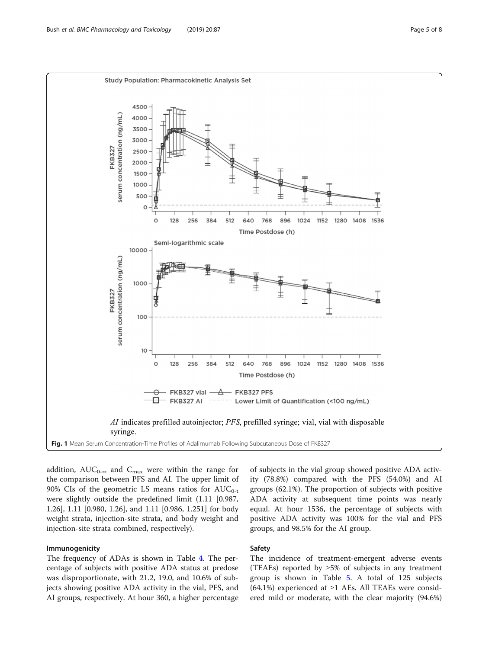<span id="page-4-0"></span>

addition,  $AUC_{0-\infty}$  and  $C_{\text{max}}$  were within the range for the comparison between PFS and AI. The upper limit of 90% CIs of the geometric LS means ratios for  $AUC_{0-t}$ were slightly outside the predefined limit (1.11 [0.987, 1.26], 1.11 [0.980, 1.26], and 1.11 [0.986, 1.251] for body weight strata, injection-site strata, and body weight and injection-site strata combined, respectively).

## Immunogenicity

The frequency of ADAs is shown in Table [4](#page-5-0). The percentage of subjects with positive ADA status at predose was disproportionate, with 21.2, 19.0, and 10.6% of subjects showing positive ADA activity in the vial, PFS, and AI groups, respectively. At hour 360, a higher percentage

of subjects in the vial group showed positive ADA activity (78.8%) compared with the PFS (54.0%) and AI groups (62.1%). The proportion of subjects with positive ADA activity at subsequent time points was nearly equal. At hour 1536, the percentage of subjects with positive ADA activity was 100% for the vial and PFS groups, and 98.5% for the AI group.

## Safety

The incidence of treatment-emergent adverse events (TEAEs) reported by  $\geq 5\%$  of subjects in any treatment group is shown in Table [5.](#page-5-0) A total of 125 subjects  $(64.1\%)$  experienced at ≥1 AEs. All TEAEs were considered mild or moderate, with the clear majority (94.6%)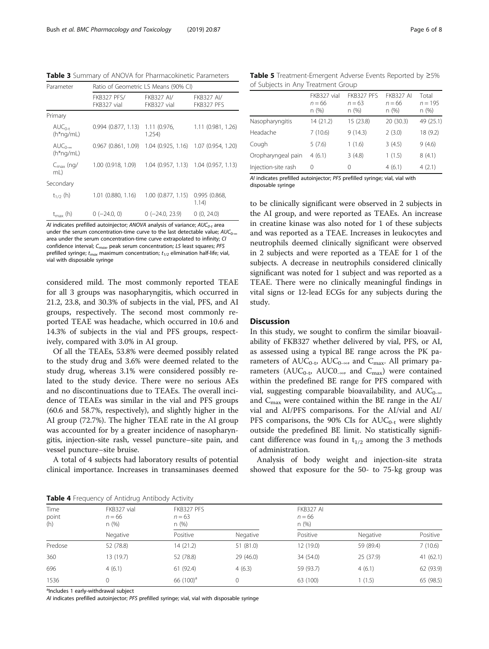<span id="page-5-0"></span>Table 3 Summary of ANOVA for Pharmacokinetic Parameters

| Parameter                       | Ratio of Geometric LS Means (90% CI) |                                  |                                       |  |  |
|---------------------------------|--------------------------------------|----------------------------------|---------------------------------------|--|--|
|                                 | FKB327 PFS/<br>FKB327 vial           | <b>FKB327 AI/</b><br>FKB327 vial | <b>FKB327 AI/</b><br>FKB327 PFS       |  |  |
| Primary                         |                                      |                                  |                                       |  |  |
| $AUC_{0-t}$<br>$(h*ng/ml)$      | 0.994(0.877, 1.13)                   | 1.11(0.976,<br>1.254)            | 1.11 (0.981, 1.26)                    |  |  |
| $AUC_{0-\infty}$<br>$(h*ng/ml)$ | 0.967(0.861, 1.09)                   |                                  | 1.04 (0.925, 1.16) 1.07 (0.954, 1.20) |  |  |
| $C_{\text{max}}$ (ng/<br>mL)    | 1.00 (0.918, 1.09)                   |                                  | 1.04 (0.957, 1.13) 1.04 (0.957, 1.13) |  |  |
| Secondary                       |                                      |                                  |                                       |  |  |
| $t_{1/2}$ (h)                   | 1.01 (0.880, 1.16)                   | 1.00(0.877, 1.15)                | 0.995 (0.868,<br>1.14)                |  |  |
| $t_{\text{max}}$ (h)            | $0$ (-24.0, 0)                       | $0$ ( $-24.0$ , 23.9)            | 0(0, 24.0)                            |  |  |

AI indicates prefilled autoinjector; ANOVA analysis of variance;  $AUC_{0-t}$  area under the serum concentration-time curve to the last detectable value;  $AUC_{0\ldots}$ area under the serum concentration-time curve extrapolated to infinity; CI confidence interval;  $C_{max}$ , peak serum concentration; LS least squares; PFS prefilled syringe;  $t_{max}$  maximum concentration;  $t_{1/2}$  elimination half-life; vial, vial with disposable syringe

considered mild. The most commonly reported TEAE for all 3 groups was nasopharyngitis, which occurred in 21.2, 23.8, and 30.3% of subjects in the vial, PFS, and AI groups, respectively. The second most commonly reported TEAE was headache, which occurred in 10.6 and 14.3% of subjects in the vial and PFS groups, respectively, compared with 3.0% in AI group.

Of all the TEAEs, 53.8% were deemed possibly related to the study drug and 3.6% were deemed related to the study drug, whereas 3.1% were considered possibly related to the study device. There were no serious AEs and no discontinuations due to TEAEs. The overall incidence of TEAEs was similar in the vial and PFS groups (60.6 and 58.7%, respectively), and slightly higher in the AI group (72.7%). The higher TEAE rate in the AI group was accounted for by a greater incidence of nasopharyngitis, injection-site rash, vessel puncture–site pain, and vessel puncture–site bruise.

A total of 4 subjects had laboratory results of potential clinical importance. Increases in transaminases deemed

|  |  | <b>Table 5</b> Treatment-Emergent Adverse Events Reported by $\geq 5\%$ |  |  |  |
|--|--|-------------------------------------------------------------------------|--|--|--|
|  |  | of Subjects in Any Treatment Group                                      |  |  |  |

|                     | FKB327 vial<br>$n = 66$<br>n(%) | FKB327 PFS<br>$n = 63$<br>n (%) | <b>FKB327 AI</b><br>$n = 66$<br>n(%) | Total<br>$n = 195$<br>n (%) |
|---------------------|---------------------------------|---------------------------------|--------------------------------------|-----------------------------|
| Nasopharyngitis     | 14 (21.2)                       | 15 (23.8)                       | 20 (30.3)                            | 49 (25.1)                   |
| Headache            | 7(10.6)                         | 9(14.3)                         | 2(3.0)                               | 18 (9.2)                    |
| Cough               | 5(7.6)                          | 1(1.6)                          | 3(4.5)                               | 9(4.6)                      |
| Oropharyngeal pain  | 4(6.1)                          | 3(4.8)                          | 1(1.5)                               | 8(4.1)                      |
| Injection-site rash | 0                               | 0                               | 4(6.1)                               | 4(2.1)                      |
|                     |                                 |                                 |                                      |                             |

AI indicates prefilled autoinjector; PFS prefilled syringe; vial, vial with disposable syringe

to be clinically significant were observed in 2 subjects in the AI group, and were reported as TEAEs. An increase in creatine kinase was also noted for 1 of these subjects and was reported as a TEAE. Increases in leukocytes and neutrophils deemed clinically significant were observed in 2 subjects and were reported as a TEAE for 1 of the subjects. A decrease in neutrophils considered clinically significant was noted for 1 subject and was reported as a TEAE. There were no clinically meaningful findings in vital signs or 12-lead ECGs for any subjects during the study.

## **Discussion**

In this study, we sought to confirm the similar bioavailability of FKB327 whether delivered by vial, PFS, or AI, as assessed using a typical BE range across the PK parameters of  $AUC_{0-t}$ ,  $AUC_{0-\infty}$ , and  $C_{\text{max}}$ . All primary parameters ( $AUC_{0-t}$ ,  $AUC_{-\infty}$ , and  $C_{\max}$ ) were contained within the predefined BE range for PFS compared with vial, suggesting comparable bioavailability, and  $AUC_{0-\infty}$ and  $C_{\text{max}}$  were contained within the BE range in the AI/ vial and AI/PFS comparisons. For the AI/vial and AI/ PFS comparisons, the 90% CIs for  $AUC_{0-t}$  were slightly outside the predefined BE limit. No statistically significant difference was found in  $t_{1/2}$  among the 3 methods of administration.

Analysis of body weight and injection-site strata showed that exposure for the 50- to 75-kg group was

| Time<br>point<br>(h) | FKB327 vial<br>$n = 66$<br>n(%) | FKB327 PFS<br>$n = 63$<br>n(%) |           |           | <b>FKB327 AI</b><br>$n = 66$<br>n(%) |           |  |
|----------------------|---------------------------------|--------------------------------|-----------|-----------|--------------------------------------|-----------|--|
|                      | Negative                        | Positive                       | Negative  | Positive  | Negative                             | Positive  |  |
| Predose              | 52 (78.8)                       | 14 (21.2)                      | 51 (81.0) | 12(19.0)  | 59 (89.4)                            | 7(10.6)   |  |
| 360                  | 13 (19.7)                       | 52 (78.8)                      | 29 (46.0) | 34 (54.0) | 25 (37.9)                            | 41(62.1)  |  |
| 696                  | 4(6.1)                          | 61 (92.4)                      | 4(6.3)    | 59 (93.7) | 4(6.1)                               | 62 (93.9) |  |
| 1536                 |                                 | 66 (100) <sup>a</sup>          | 0         | 63 (100)  | 1(1.5)                               | 65 (98.5) |  |

Table 4 Frequency of Antidrug Antibody Activity

<sup>a</sup>Includes 1 early-withdrawal subject

AI indicates prefilled autoinjector; PFS prefilled syringe; vial, vial with disposable syringe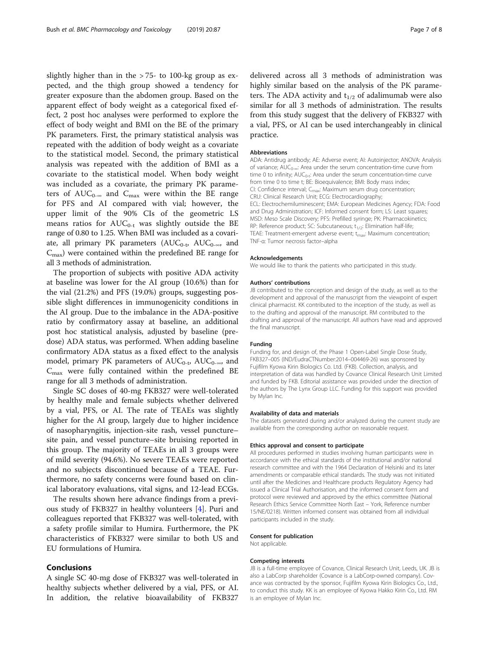slightly higher than in the > 75- to 100-kg group as expected, and the thigh group showed a tendency for greater exposure than the abdomen group. Based on the apparent effect of body weight as a categorical fixed effect, 2 post hoc analyses were performed to explore the effect of body weight and BMI on the BE of the primary PK parameters. First, the primary statistical analysis was repeated with the addition of body weight as a covariate to the statistical model. Second, the primary statistical analysis was repeated with the addition of BMI as a covariate to the statistical model. When body weight was included as a covariate, the primary PK parameters of  $AUC_{0-\infty}$  and  $C_{\max}$  were within the BE range for PFS and AI compared with vial; however, the upper limit of the 90% CIs of the geometric LS means ratios for  $AUC_{0-t}$  was slightly outside the BE range of 0.80 to 1.25. When BMI was included as a covariate, all primary PK parameters  $(AUC_{0-t}$ ,  $AUC_{0-\infty}$ , and  $C<sub>max</sub>$ ) were contained within the predefined BE range for all 3 methods of administration.

The proportion of subjects with positive ADA activity at baseline was lower for the AI group (10.6%) than for the vial (21.2%) and PFS (19.0%) groups, suggesting possible slight differences in immunogenicity conditions in the AI group. Due to the imbalance in the ADA-positive ratio by confirmatory assay at baseline, an additional post hoc statistical analysis, adjusted by baseline (predose) ADA status, was performed. When adding baseline confirmatory ADA status as a fixed effect to the analysis model, primary PK parameters of  $AUC_{0-t}$ ,  $AUC_{0-\infty}$ , and  $C_{\text{max}}$  were fully contained within the predefined BE range for all 3 methods of administration.

Single SC doses of 40-mg FKB327 were well-tolerated by healthy male and female subjects whether delivered by a vial, PFS, or AI. The rate of TEAEs was slightly higher for the AI group, largely due to higher incidence of nasopharyngitis, injection-site rash, vessel puncture– site pain, and vessel puncture–site bruising reported in this group. The majority of TEAEs in all 3 groups were of mild severity (94.6%). No severe TEAEs were reported and no subjects discontinued because of a TEAE. Furthermore, no safety concerns were found based on clinical laboratory evaluations, vital signs, and 12-lead ECGs.

The results shown here advance findings from a previous study of FKB327 in healthy volunteers [\[4\]](#page-7-0). Puri and colleagues reported that FKB327 was well-tolerated, with a safety profile similar to Humira. Furthermore, the PK characteristics of FKB327 were similar to both US and EU formulations of Humira.

## Conclusions

A single SC 40-mg dose of FKB327 was well-tolerated in healthy subjects whether delivered by a vial, PFS, or AI. In addition, the relative bioavailability of FKB327 delivered across all 3 methods of administration was highly similar based on the analysis of the PK parameters. The ADA activity and  $t_{1/2}$  of adalimumab were also similar for all 3 methods of administration. The results from this study suggest that the delivery of FKB327 with a vial, PFS, or AI can be used interchangeably in clinical practice.

#### Abbreviations

ADA: Antidrug antibody; AE: Adverse event; AI: Autoinjector; ANOVA: Analysis of variance; AUC<sub>0∞</sub>: Area under the serum concentration-time curve from time 0 to infinity;  $AUC_{0-t}$ : Area under the serum concentration-time curve from time 0 to time t; BE: Bioequivalence; BMI: Body mass index; CI: Confidence interval; C<sub>max</sub>: Maximum serum drug concentration; CRU: Clinical Research Unit; ECG: Electrocardiography; ECL: Electrochemiluminescent; EMA: European Medicines Agency; FDA: Food and Drug Administration; ICF: Informed consent form; LS: Least squares; MSD: Meso Scale Discovery; PFS: Prefilled syringe; PK: Pharmacokinetics; RP: Reference product; SC: Subcutaneous;  $t_{1/2}$ : Elimination half-life; TEAE: Treatment-emergent adverse event;  $t_{max}$ : Maximum concentration; TNF-α: Tumor necrosis factor–alpha

#### Acknowledgements

We would like to thank the patients who participated in this study.

#### Authors' contributions

JB contributed to the conception and design of the study, as well as to the development and approval of the manuscript from the viewpoint of expert clinical pharmacist. KK contributed to the inception of the study, as well as to the drafting and approval of the manuscript. RM contributed to the drafting and approval of the manuscript. All authors have read and approved the final manuscript.

## Funding

Funding for, and design of, the Phase 1 Open-Label Single Dose Study, FKB327–005 (IND/EudraCTNumber:2014–004469-26) was sponsored by Fujifilm Kyowa Kirin Biologics Co. Ltd. (FKB). Collection, analysis, and interpretation of data was handled by Covance Clinical Research Unit Limited and funded by FKB. Editorial assistance was provided under the direction of the authors by The Lynx Group LLC. Funding for this support was provided by Mylan Inc.

#### Availability of data and materials

The datasets generated during and/or analyzed during the current study are available from the corresponding author on reasonable request.

#### Ethics approval and consent to participate

All procedures performed in studies involving human participants were in accordance with the ethical standards of the institutional and/or national research committee and with the 1964 Declaration of Helsinki and its later amendments or comparable ethical standards. The study was not initiated until after the Medicines and Healthcare products Regulatory Agency had issued a Clinical Trial Authorisation, and the informed consent form and protocol were reviewed and approved by the ethics committee (National Research Ethics Service Committee North East – York, Reference number 15/NE/0218). Written informed consent was obtained from all individual participants included in the study.

#### Consent for publication

Not applicable.

#### Competing interests

JB is a full-time employee of Covance, Clinical Research Unit, Leeds, UK. JB is also a LabCorp shareholder (Covance is a LabCorp-owned company). Covance was contracted by the sponsor, Fujifilm Kyowa Kirin Biologics Co., Ltd., to conduct this study. KK is an employee of Kyowa Hakko Kirin Co., Ltd. RM is an employee of Mylan Inc.